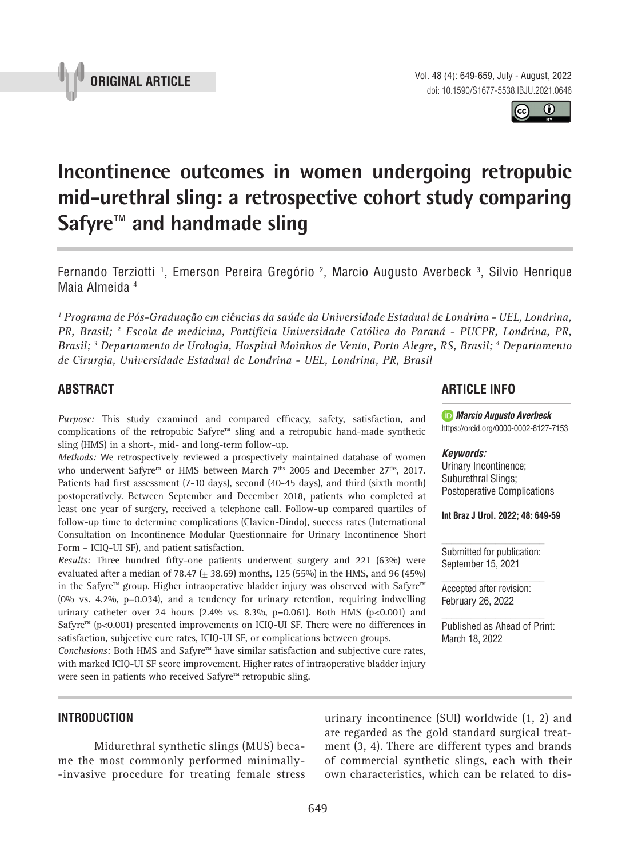



# **Incontinence outcomes in women undergoing retropubic mid-urethral sling: a retrospective cohort study comparing Safyre™ and handmade sling \_\_\_\_\_\_\_\_\_\_\_\_\_\_\_\_\_\_\_\_\_\_\_\_\_\_\_\_\_\_\_\_\_\_\_\_\_\_\_\_\_\_\_\_\_\_\_**

Fernando Terziotti <sup>1</sup>, Emerson Pereira Gregório <sup>2</sup>, Marcio Augusto Averbeck <sup>3</sup>, Silvio Henrique Maia Almeida 4

*1 Programa de Pós-Graduação em ciências da saúde da Universidade Estadual de Londrina - UEL, Londrina, PR, Brasil; 2 Escola de medicina, Pontifícia Universidade Católica do Paraná - PUCPR, Londrina, PR, Brasil; 3 Departamento de Urologia, Hospital Moinhos de Vento, Porto Alegre, RS, Brasil; 4 Departamento de Cirurgia, Universidade Estadual de Londrina - UEL, Londrina, PR, Brasil*

# **ABSTRACT**

*Purpose:* This study examined and compared efficacy, safety, satisfaction, and complications of the retropubic Safyre™ sling and a retropubic hand-made synthetic sling (HMS) in a short-, mid- and long-term follow-up.

*Methods:* We retrospectively reviewed a prospectively maintained database of women who underwent Safyre™ or HMS between March 7<sup>ths</sup> 2005 and December 27<sup>ths</sup>, 2017. Patients had first assessment (7-10 days), second (40-45 days), and third (sixth month) postoperatively. Between September and December 2018, patients who completed at least one year of surgery, received a telephone call. Follow-up compared quartiles of follow-up time to determine complications (Clavien-Dindo), success rates (International Consultation on Incontinence Modular Questionnaire for Urinary Incontinence Short Form – ICIQ-UI SF), and patient satisfaction.

*Results:* Three hundred fifty-one patients underwent surgery and 221 (63%) were evaluated after a median of 78.47 ( $\pm$  38.69) months, 125 (55%) in the HMS, and 96 (45%) in the Safyre™ group. Higher intraoperative bladder injury was observed with Safyre™ (0% vs. 4.2%, p=0.034), and a tendency for urinary retention, requiring indwelling urinary catheter over 24 hours (2.4% vs. 8.3%, p=0.061). Both HMS (p<0.001) and Safyre™ ( $p$ <0.001) presented improvements on ICIQ-UI SF. There were no differences in satisfaction, subjective cure rates, ICIQ-UI SF, or complications between groups.

Conclusions: Both HMS and Safyre<sup>™</sup> have similar satisfaction and subjective cure rates, with marked ICIQ-UI SF score improvement. Higher rates of intraoperative bladder injury were seen in patients who received Safyre™ retropubic sling.

## **ARTICLE INFO**

*Marcio Augusto Averbeck* https://orcid.org/0000-0002-8127-7153

#### *Keywords:*

Urinary Incontinence; Suburethral Slings; Postoperative Complications

**Int Braz J Urol. 2022; 48: 649-59**

Submitted for publication: September 15, 2021

Accepted after revision: February 26, 2022

Published as Ahead of Print: March 18, 2022

## **INTRODUCTION**

Midurethral synthetic slings (MUS) became the most commonly performed minimally- -invasive procedure for treating female stress urinary incontinence (SUI) worldwide (1, 2) and are regarded as the gold standard surgical treatment (3, 4). There are different types and brands of commercial synthetic slings, each with their own characteristics, which can be related to dis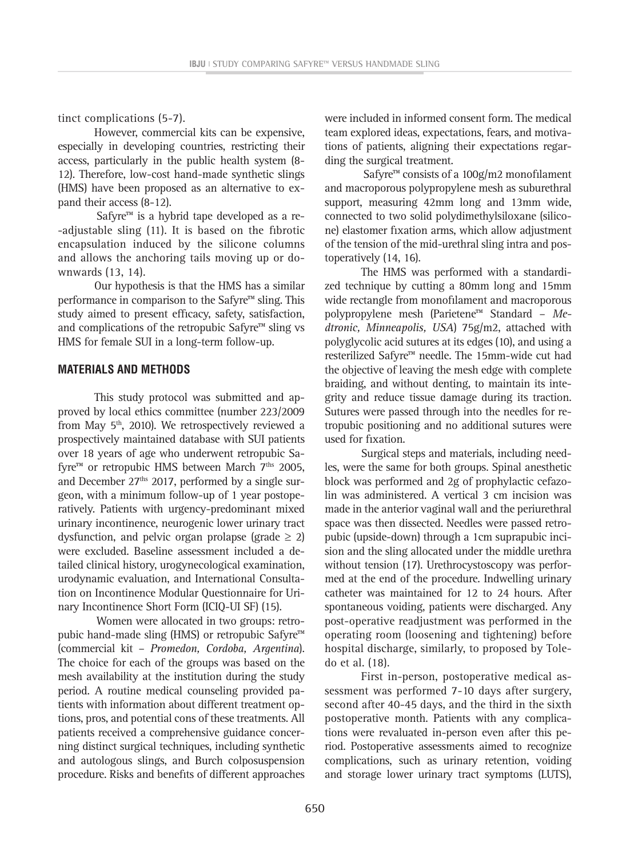tinct complications (5-7).

However, commercial kits can be expensive, especially in developing countries, restricting their access, particularly in the public health system (8- 12). Therefore, low-cost hand-made synthetic slings (HMS) have been proposed as an alternative to expand their access (8-12).

Safyre<sup>™</sup> is a hybrid tape developed as a re--adjustable sling (11). It is based on the fibrotic encapsulation induced by the silicone columns and allows the anchoring tails moving up or downwards (13, 14).

Our hypothesis is that the HMS has a similar performance in comparison to the Safyre™ sling. This study aimed to present efficacy, safety, satisfaction, and complications of the retropubic Safyre™ sling vs HMS for female SUI in a long-term follow-up.

## **MATERIALS AND METHODS**

This study protocol was submitted and approved by local ethics committee (number 223/2009 from May  $5<sup>th</sup>$ , 2010). We retrospectively reviewed a prospectively maintained database with SUI patients over 18 years of age who underwent retropubic Safyre $m$  or retropubic HMS between March  $7<sup>ths</sup>$  2005, and December  $27<sup>ths</sup>$  2017, performed by a single surgeon, with a minimum follow-up of 1 year postoperatively. Patients with urgency-predominant mixed urinary incontinence, neurogenic lower urinary tract dysfunction, and pelvic organ prolapse (grade  $\geq 2$ ) were excluded. Baseline assessment included a detailed clinical history, urogynecological examination, urodynamic evaluation, and International Consultation on Incontinence Modular Questionnaire for Urinary Incontinence Short Form (ICIQ-UI SF) (15).

Women were allocated in two groups: retropubic hand-made sling (HMS) or retropubic Safyre™ (commercial kit – *Promedon, Cordoba, Argentina*). The choice for each of the groups was based on the mesh availability at the institution during the study period. A routine medical counseling provided patients with information about different treatment options, pros, and potential cons of these treatments. All patients received a comprehensive guidance concerning distinct surgical techniques, including synthetic and autologous slings, and Burch colposuspension procedure. Risks and benefits of different approaches were included in informed consent form. The medical team explored ideas, expectations, fears, and motivations of patients, aligning their expectations regarding the surgical treatment.

Safyre<sup>™</sup> consists of a 100g/m2 monofilament and macroporous polypropylene mesh as suburethral support, measuring 42mm long and 13mm wide, connected to two solid polydimethylsiloxane (silicone) elastomer fixation arms, which allow adjustment of the tension of the mid-urethral sling intra and postoperatively (14, 16).

The HMS was performed with a standardized technique by cutting a 80mm long and 15mm wide rectangle from monofilament and macroporous polypropylene mesh (Parietene™ Standard – *Medtronic, Minneapolis, USA*) 75g/m2, attached with polyglycolic acid sutures at its edges (10), and using a resterilized Safyre™ needle. The 15mm-wide cut had the objective of leaving the mesh edge with complete braiding, and without denting, to maintain its integrity and reduce tissue damage during its traction. Sutures were passed through into the needles for retropubic positioning and no additional sutures were used for fixation.

Surgical steps and materials, including needles, were the same for both groups. Spinal anesthetic block was performed and 2g of prophylactic cefazolin was administered. A vertical 3 cm incision was made in the anterior vaginal wall and the periurethral space was then dissected. Needles were passed retropubic (upside-down) through a 1cm suprapubic incision and the sling allocated under the middle urethra without tension (17). Urethrocystoscopy was performed at the end of the procedure. Indwelling urinary catheter was maintained for 12 to 24 hours. After spontaneous voiding, patients were discharged. Any post-operative readjustment was performed in the operating room (loosening and tightening) before hospital discharge, similarly, to proposed by Toledo et al. (18).

First in-person, postoperative medical assessment was performed 7-10 days after surgery, second after 40-45 days, and the third in the sixth postoperative month. Patients with any complications were revaluated in-person even after this period. Postoperative assessments aimed to recognize complications, such as urinary retention, voiding and storage lower urinary tract symptoms (LUTS),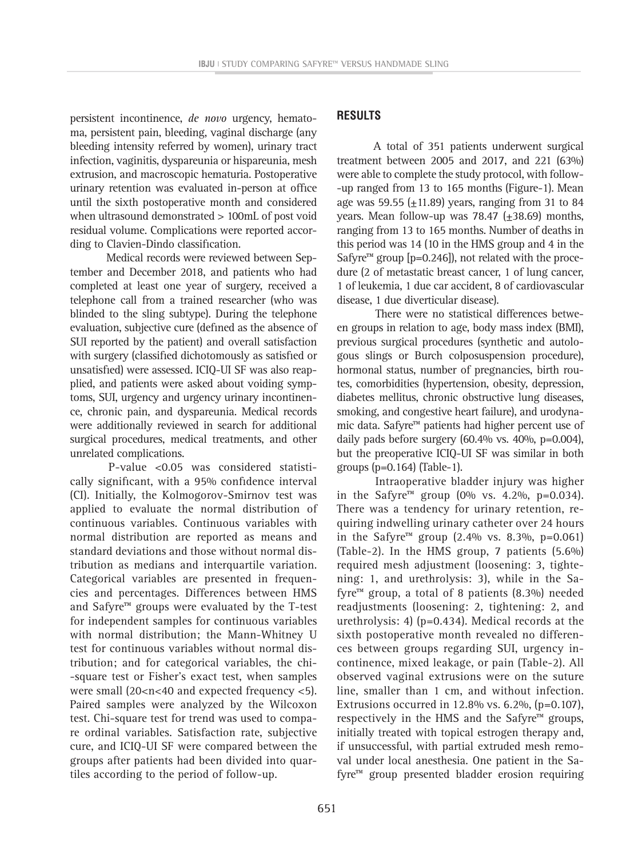persistent incontinence, *de novo* urgency, hematoma, persistent pain, bleeding, vaginal discharge (any bleeding intensity referred by women), urinary tract infection, vaginitis, dyspareunia or hispareunia, mesh extrusion, and macroscopic hematuria. Postoperative urinary retention was evaluated in-person at office until the sixth postoperative month and considered when ultrasound demonstrated > 100mL of post void residual volume. Complications were reported according to Clavien-Dindo classification.

Medical records were reviewed between September and December 2018, and patients who had completed at least one year of surgery, received a telephone call from a trained researcher (who was blinded to the sling subtype). During the telephone evaluation, subjective cure (defined as the absence of SUI reported by the patient) and overall satisfaction with surgery (classified dichotomously as satisfied or unsatisfied) were assessed. ICIQ-UI SF was also reapplied, and patients were asked about voiding symptoms, SUI, urgency and urgency urinary incontinence, chronic pain, and dyspareunia. Medical records were additionally reviewed in search for additional surgical procedures, medical treatments, and other unrelated complications.

P-value <0.05 was considered statistically significant, with a 95% confidence interval (CI). Initially, the Kolmogorov-Smirnov test was applied to evaluate the normal distribution of continuous variables. Continuous variables with normal distribution are reported as means and standard deviations and those without normal distribution as medians and interquartile variation. Categorical variables are presented in frequencies and percentages. Differences between HMS and Safyre™ groups were evaluated by the T-test for independent samples for continuous variables with normal distribution; the Mann-Whitney U test for continuous variables without normal distribution; and for categorical variables, the chi- -square test or Fisher's exact test, when samples were small (20<n<40 and expected frequency <5). Paired samples were analyzed by the Wilcoxon test. Chi-square test for trend was used to compare ordinal variables. Satisfaction rate, subjective cure, and ICIQ-UI SF were compared between the groups after patients had been divided into quartiles according to the period of follow-up.

## **RESULTS**

A total of 351 patients underwent surgical treatment between 2005 and 2017, and 221 (63%) were able to complete the study protocol, with follow- -up ranged from 13 to 165 months (Figure-1). Mean age was 59.55  $(\pm 11.89)$  years, ranging from 31 to 84 years. Mean follow-up was 78.47  $(\pm 38.69)$  months, ranging from 13 to 165 months. Number of deaths in this period was 14 (10 in the HMS group and 4 in the Safyre<sup>™</sup> group [p=0.246]), not related with the procedure (2 of metastatic breast cancer, 1 of lung cancer, 1 of leukemia, 1 due car accident, 8 of cardiovascular disease, 1 due diverticular disease).

There were no statistical differences between groups in relation to age, body mass index (BMI), previous surgical procedures (synthetic and autologous slings or Burch colposuspension procedure), hormonal status, number of pregnancies, birth routes, comorbidities (hypertension, obesity, depression, diabetes mellitus, chronic obstructive lung diseases, smoking, and congestive heart failure), and urodynamic data. Safyre™ patients had higher percent use of daily pads before surgery  $(60.4\%$  vs.  $40\%$ , p=0.004), but the preoperative ICIQ-UI SF was similar in both groups (p=0.164) (Table-1).

Intraoperative bladder injury was higher in the Safyre<sup>™</sup> group (0% vs. 4.2%, p=0.034). There was a tendency for urinary retention, requiring indwelling urinary catheter over 24 hours in the Safyre™ group (2.4% vs. 8.3%, p=0.061) (Table-2). In the HMS group, 7 patients (5.6%) required mesh adjustment (loosening: 3, tightening: 1, and urethrolysis: 3), while in the Safyre<sup> $m$ </sup> group, a total of 8 patients (8.3%) needed readjustments (loosening: 2, tightening: 2, and urethrolysis: 4) (p=0.434). Medical records at the sixth postoperative month revealed no differences between groups regarding SUI, urgency incontinence, mixed leakage, or pain (Table-2). All observed vaginal extrusions were on the suture line, smaller than 1 cm, and without infection. Extrusions occurred in 12.8% vs. 6.2%, (p=0.107), respectively in the HMS and the Safyre™ groups, initially treated with topical estrogen therapy and, if unsuccessful, with partial extruded mesh removal under local anesthesia. One patient in the Safyre™ group presented bladder erosion requiring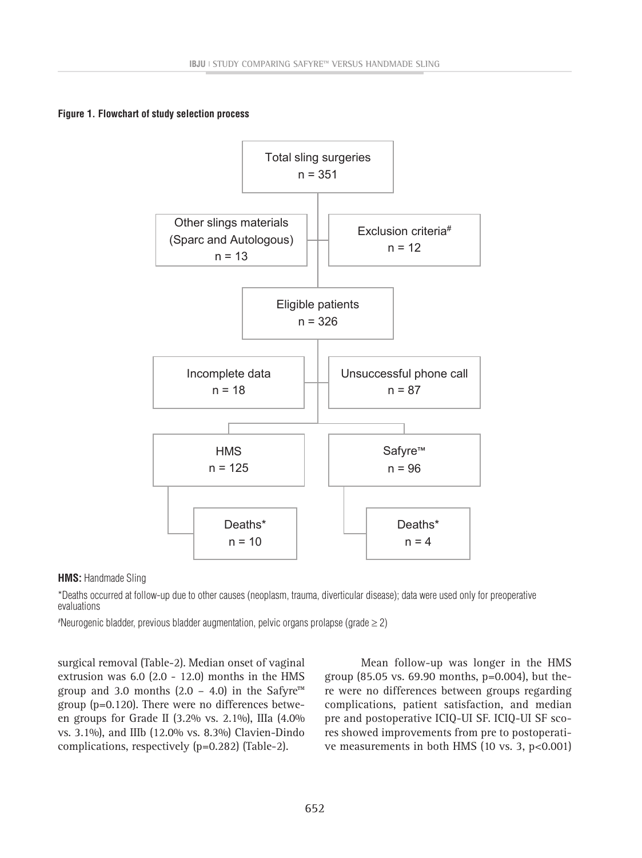**Figure 1. Flowchart of study selection process Figure 1.** Flowchart of study selection process



**HMS:** Handmade Sling *HMS: Handmade Sling*

\*Deaths occurred at follow-up due to other causes (neoplasm, trauma, diverticular disease); data were used only for preoperative evaluations *were used only for preoperative evaluations*

# Neurogenic bladder, previous bladder augmentation, pelvic organs prolapse (grade ≥ 2) *#Neurogenic bladder, previous bladder augmentation, pelvic organs prolapse (grade ≥ 2)*

surgical removal (Table-2). Median onset of vaginal extrusion was 6.0 (2.0 - 12.0) months in the HMS group and 3.0 months  $(2.0 - 4.0)$  in the Safyre<sup>™</sup> group (p=0.120). There were no differences between groups for Grade II (3.2% vs. 2.1%), IIIa (4.0% vs. 3.1%), and IIIb (12.0% vs. 8.3%) Clavien-Dindo complications, respectively (p=0.282) (Table-2).

Mean follow-up was longer in the HMS group (85.05 vs. 69.90 months, p=0.004), but there were no differences between groups regarding complications, patient satisfaction, and median pre and postoperative ICIQ-UI SF. ICIQ-UI SF scores showed improvements from pre to postoperative measurements in both HMS (10 vs. 3, p<0.001)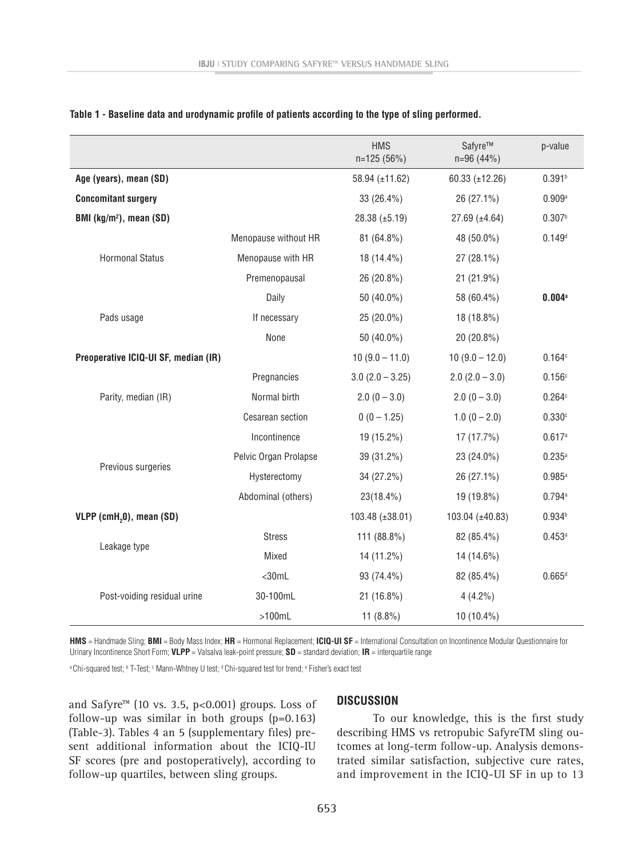|                                      |                       | <b>HMS</b><br>n=125 (56%) | Safyre™<br>$n=96(44%)$ | p-value              |
|--------------------------------------|-----------------------|---------------------------|------------------------|----------------------|
| Age (years), mean (SD)               |                       | 58.94 (±11.62)            | 60.33 $(\pm 12.26)$    | 0.391 <sup>b</sup>   |
| <b>Concomitant surgery</b>           |                       | 33 (26.4%)                | 26 (27.1%)             | 0.909a               |
| BMI (kg/m <sup>2</sup> ), mean (SD)  |                       | $28.38 \ (\pm 5.19)$      | $27.69 \ (\pm 4.64)$   | 0.307 <sup>b</sup>   |
|                                      | Menopause without HR  | 81 (64.8%)                | 48 (50.0%)             | $0.149^{d}$          |
| <b>Hormonal Status</b>               | Menopause with HR     | 18 (14.4%)                | 27 (28.1%)             |                      |
|                                      | Premenopausal         | 26 (20.8%)                | 21 (21.9%)             |                      |
|                                      | Daily                 | 50 (40.0%)                | 58 (60.4%)             | $0.004$ <sup>a</sup> |
| Pads usage                           | If necessary          | 25 (20.0%)                | 18 (18.8%)             |                      |
|                                      | None                  | 50 (40.0%)                | 20 (20.8%)             |                      |
| Preoperative ICIQ-UI SF, median (IR) |                       | $10(9.0 - 11.0)$          | $10(9.0 - 12.0)$       | 0.164c               |
| Parity, median (IR)                  | Pregnancies           | $3.0(2.0 - 3.25)$         | $2.0 (2.0 - 3.0)$      | 0.156c               |
|                                      | Normal birth          | $2.0(0 - 3.0)$            | $2.0(0 - 3.0)$         | 0.264c               |
|                                      | Cesarean section      | $0(0 - 1.25)$             | $1.0(0 - 2.0)$         | 0.330c               |
| Previous surgeries                   | Incontinence          | 19 (15.2%)                | 17 (17.7%)             | 0.617a               |
|                                      | Pelvic Organ Prolapse | 39 (31.2%)                | 23 (24.0%)             | $0.235^{a}$          |
|                                      | Hysterectomy          | 34 (27.2%)                | 26 (27.1%)             | $0.985^{a}$          |
|                                      | Abdominal (others)    | 23(18.4%)                 | 19 (19.8%)             | 0.794a               |
| VLPP (cmH <sub>2</sub> 0), mean (SD) |                       | 103.48 (±38.01)           | 103.04 (±40.83)        | $0.934^{b}$          |
| Leakage type                         | <b>Stress</b>         | 111 (88.8%)               | 82 (85.4%)             | 0.453a               |
|                                      | Mixed                 | 14 (11.2%)                | 14 (14.6%)             |                      |
| Post-voiding residual urine          | $<$ 30mL              | 93 (74.4%)                | 82 (85.4%)             | $0.665^{d}$          |
|                                      | 30-100mL              | 21 (16.8%)                | $4(4.2\%)$             |                      |
|                                      | $>100$ mL             | 11 $(8.8\%)$              | 10 (10.4%)             |                      |

**Table 1 - Baseline data and urodynamic profile of patients according to the type of sling performed.**

**HMS** = Handmade Sling; **BMI** = Body Mass Index; **HR** = Hormonal Replacement; **ICIQ-UI SF** = International Consultation on Incontinence Modular Questionnaire for Urinary Incontinence Short Form; **VLPP** = Valsalva leak-point pressure; **SD** = standard deviation; **IR** = interquartile range

a Chi-squared test; b T-Test; c Mann-Whtney U test; d Chi-squared test for trend; e Fisher's exact test "

and Safyre™ (10 vs. 3.5, p<0.001) groups. Loss of follow-up was similar in both groups  $(p=0.163)$ (Table-3). Tables 4 an 5 (supplementary files) present additional information about the ICIQ-IU SF scores (pre and postoperatively), according to follow-up quartiles, between sling groups.

#### **DISCUSSION**

To our knowledge, this is the first study describing HMS vs retropubic SafyreTM sling outcomes at long-term follow-up. Analysis demonstrated similar satisfaction, subjective cure rates, and improvement in the ICIQ-UI SF in up to 13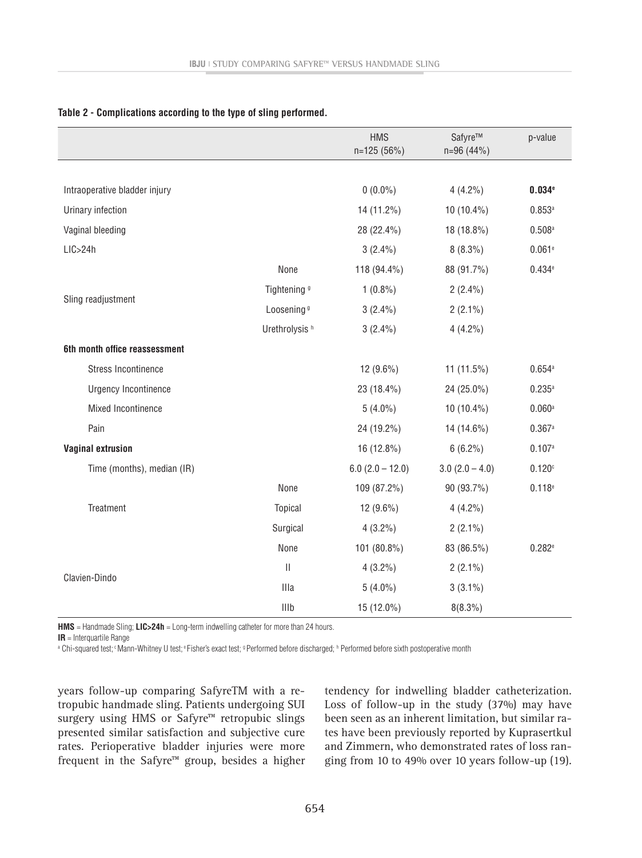|                               |                           | <b>HMS</b><br>n=125 (56%) | Safyre™<br>$n=96(44%)$ | p-value              |
|-------------------------------|---------------------------|---------------------------|------------------------|----------------------|
|                               |                           |                           |                        |                      |
| Intraoperative bladder injury |                           | $0(0.0\%)$                | $4(4.2\%)$             | 0.034e               |
| Urinary infection             |                           | 14 (11.2%)                | 10 (10.4%)             | 0.853a               |
| Vaginal bleeding              |                           | 28 (22.4%)                | 18 (18.8%)             | $0.508$ <sup>a</sup> |
| LIC>24h                       |                           | $3(2.4\%)$                | $8(8.3\%)$             | 0.061e               |
|                               | None                      | 118 (94.4%)               | 88 (91.7%)             | 0.434e               |
| Sling readjustment            | Tightening <sup>9</sup>   | $1(0.8\%)$                | $2(2.4\%)$             |                      |
|                               | Loosening <sup>9</sup>    | $3(2.4\%)$                | $2(2.1\%)$             |                      |
|                               | Urethrolysis <sup>h</sup> | $3(2.4\%)$                | $4(4.2\%)$             |                      |
| 6th month office reassessment |                           |                           |                        |                      |
| <b>Stress Incontinence</b>    |                           | $12(9.6\%)$               | 11 $(11.5%)$           | 0.654a               |
| <b>Urgency Incontinence</b>   |                           | 23 (18.4%)                | 24 (25.0%)             | $0.235^{a}$          |
| Mixed Incontinence            |                           | $5(4.0\%)$                | 10 (10.4%)             | $0.060$ <sup>a</sup> |
| Pain                          |                           | 24 (19.2%)                | 14 (14.6%)             | 0.367a               |
| <b>Vaginal extrusion</b>      |                           | 16 (12.8%)                | $6(6.2\%)$             | 0.107a               |
| Time (months), median (IR)    |                           | $6.0$ (2.0 $-$ 12.0)      | $3.0(2.0 - 4.0)$       | 0.120c               |
|                               | None                      | 109 (87.2%)               | 90 (93.7%)             | 0.118e               |
| Treatment                     | Topical                   | 12 (9.6%)                 | $4(4.2\%)$             |                      |
|                               | Surgical                  | $4(3.2\%)$                | $2(2.1\%)$             |                      |
|                               | None                      | 101 (80.8%)               | 83 (86.5%)             | 0.282e               |
| Clavien-Dindo                 | $\vert\vert$              | $4(3.2\%)$                | $2(2.1\%)$             |                      |
|                               | <b>Illa</b>               | $5(4.0\%)$                | $3(3.1\%)$             |                      |
|                               | Illb                      | 15 (12.0%)                | $8(8.3\%)$             |                      |

**Table 2 - Complications according to the type of sling performed.**

**HMS** = Handmade Sling; **LIC>24h** = Long-term indwelling catheter for more than 24 hours.

**IR** = Interquartile Range

<sup>a</sup> Chi-squared test; Mann-Whitney U test; <sup>e</sup> Fisher's exact test; ¤Performed before discharged; ʰ Performed before sixth postoperative month

years follow-up comparing SafyreTM with a retropubic handmade sling. Patients undergoing SUI surgery using HMS or Safyre™ retropubic slings presented similar satisfaction and subjective cure rates. Perioperative bladder injuries were more frequent in the Safyre™ group, besides a higher tendency for indwelling bladder catheterization. Loss of follow-up in the study (37%) may have been seen as an inherent limitation, but similar rates have been previously reported by Kuprasertkul and Zimmern, who demonstrated rates of loss ranging from 10 to 49% over 10 years follow-up (19).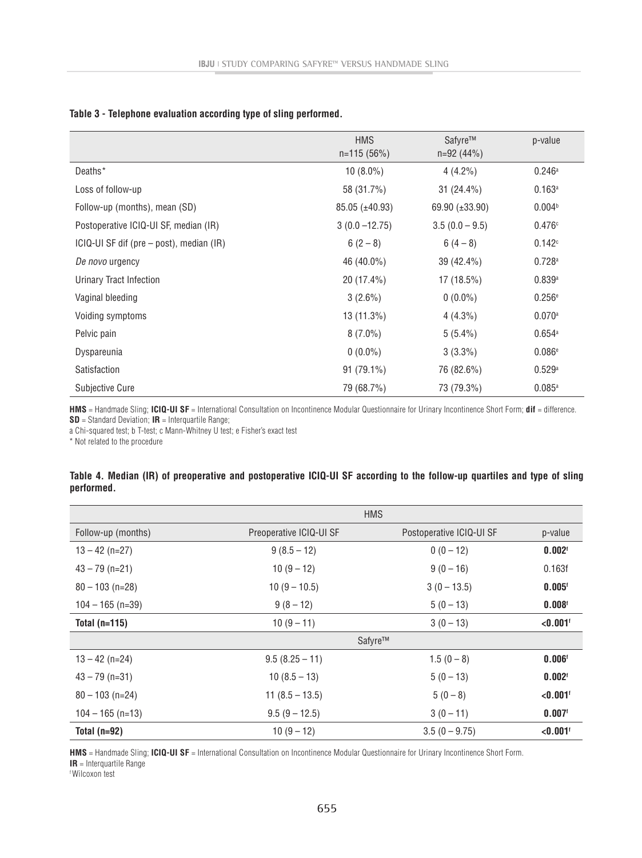|                                            | <b>HMS</b><br>$n=115(56%)$ | Safyre™<br>$n=92(44%)$ | p-value            |
|--------------------------------------------|----------------------------|------------------------|--------------------|
| Deaths*                                    | $10(8.0\%)$                | $4(4.2\%)$             | 0.246a             |
| Loss of follow-up                          | 58 (31.7%)                 | $31(24.4\%)$           | 0.163a             |
| Follow-up (months), mean (SD)              | 85.05 (±40.93)             | 69.90 (±33.90)         | 0.004 <sup>b</sup> |
| Postoperative ICIQ-UI SF, median (IR)      | $3(0.0 - 12.75)$           | $3.5(0.0 - 9.5)$       | 0.476c             |
| $ICIQ-UI SF diff (pre-post)$ , median (IR) | $6(2-8)$                   | $6(4-8)$               | 0.142c             |
| De novo urgency                            | 46 (40.0%)                 | 39 (42.4%)             | 0.728a             |
| Urinary Tract Infection                    | 20 (17.4%)                 | 17 (18.5%)             | 0.839a             |
| Vaginal bleeding                           | $3(2.6\%)$                 | $0(0.0\%)$             | 0.256e             |
| Voiding symptoms                           | 13 (11.3%)                 | $4(4.3\%)$             | 0.070a             |
| Pelvic pain                                | $8(7.0\%)$                 | $5(5.4\%)$             | 0.654a             |
| Dyspareunia                                | $0(0.0\%)$                 | $3(3.3\%)$             | 0.086e             |
| Satisfaction                               | $91(79.1\%)$               | 76 (82.6%)             | 0.529a             |
| <b>Subjective Cure</b>                     | 79 (68.7%)                 | 73 (79.3%)             | 0.085a             |

#### **Table 3 - Telephone evaluation according type of sling performed.**

**HMS** = Handmade Sling; **ICIQ-UI SF** = International Consultation on Incontinence Modular Questionnaire for Urinary Incontinence Short Form; **dif** = difference. **SD** = Standard Deviation; **IR** = Interquartile Range;

a Chi-squared test; b T-test; c Mann-Whitney U test; e Fisher's exact test

\* Not related to the procedure

### **Table 4. Median (IR) of preoperative and postoperative ICIQ-UI SF according to the follow-up quartiles and type of sling performed.**

|                    |                         | <b>HMS</b>               |                        |
|--------------------|-------------------------|--------------------------|------------------------|
| Follow-up (months) | Preoperative ICIQ-UI SF | Postoperative ICIQ-UI SF | p-value                |
| $13 - 42$ (n=27)   | $9(8.5 - 12)$           | $0(0-12)$                | 0.002 <sup>t</sup>     |
| $43 - 79$ (n=21)   | $10(9-12)$              | $9(0-16)$                | 0.163f                 |
| $80 - 103$ (n=28)  | $10(9 - 10.5)$          | $3(0 - 13.5)$            | $0.005$ <sup>f</sup>   |
| $104 - 165$ (n=39) | $9(8-12)$               | $5(0-13)$                | 0.008 <sup>t</sup>     |
| Total $(n=115)$    | $10(9-11)$              | $3(0-13)$                | $< 0.001$ <sup>t</sup> |
|                    | Safyre™                 |                          |                        |
| $13 - 42$ (n=24)   | $9.5(8.25 - 11)$        | $1.5(0-8)$               | $0.006$ <sup>f</sup>   |
| $43 - 79$ (n=31)   | $10(8.5 - 13)$          | $5(0-13)$                | 0.002 <sup>t</sup>     |
| $80 - 103$ (n=24)  | $11(8.5 - 13.5)$        | $5(0-8)$                 | $< 0.001$ <sup>t</sup> |
| $104 - 165$ (n=13) | $9.5(9 - 12.5)$         | $3(0-11)$                | $0.007$ <sup>t</sup>   |
| Total $(n=92)$     | $10(9-12)$              | $3.5(0 - 9.75)$          | $< 0.001$ <sup>t</sup> |

**HMS** = Handmade Sling; **ICIQ-UI SF** = International Consultation on Incontinence Modular Questionnaire for Urinary Incontinence Short Form.

**IR** = Interquartile Range

f Wilcoxon test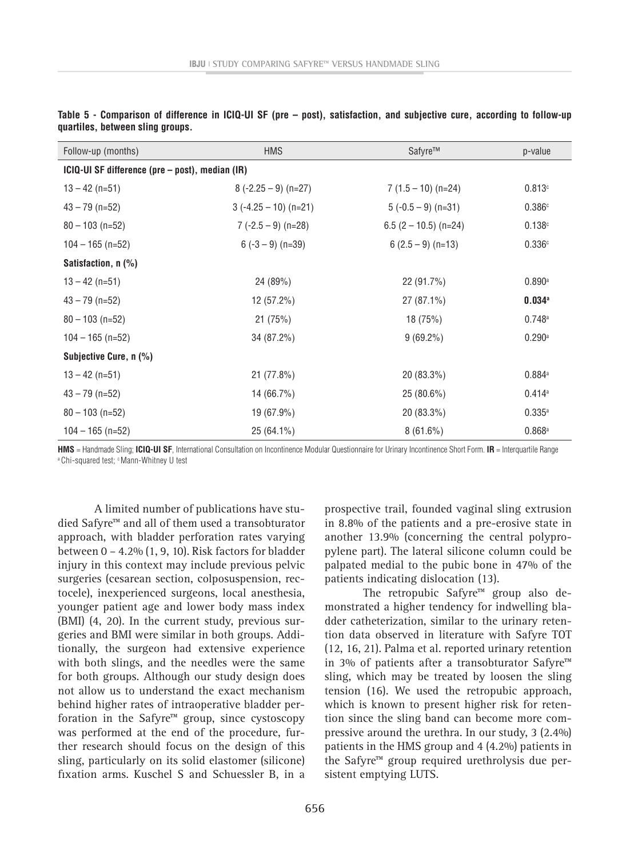| Follow-up (months)                              | <b>HMS</b>             | Safyre™                 | p-value              |
|-------------------------------------------------|------------------------|-------------------------|----------------------|
| ICIQ-UI SF difference (pre – post), median (IR) |                        |                         |                      |
| $13 - 42$ (n=51)                                | $8(-2.25-9)$ (n=27)    | $7(1.5 - 10)$ (n=24)    | 0.813c               |
| $43 - 79$ (n=52)                                | $3(-4.25 - 10)$ (n=21) | $5(-0.5-9)$ (n=31)      | 0.386c               |
| $80 - 103$ (n=52)                               | $7(-2.5-9)$ (n=28)     | $6.5$ (2 – 10.5) (n=24) | 0.138c               |
| $104 - 165$ (n=52)                              | $6(-3-9)$ (n=39)       | $6(2.5-9)$ (n=13)       | 0.336c               |
| Satisfaction, n (%)                             |                        |                         |                      |
| $13 - 42$ (n=51)                                | 24 (89%)               | 22 (91.7%)              | $0.890$ <sup>a</sup> |
| $43 - 79$ (n=52)                                | 12 (57.2%)             | 27 (87.1%)              | $0.034$ <sup>a</sup> |
| $80 - 103$ (n=52)                               | 21(75%)                | 18 (75%)                | 0.748a               |
| $104 - 165$ (n=52)                              | 34 (87.2%)             | $9(69.2\%)$             | 0.290a               |
| Subjective Cure, n (%)                          |                        |                         |                      |
| $13 - 42$ (n=51)                                | 21 (77.8%)             | 20 (83.3%)              | 0.884a               |
| $43 - 79$ (n=52)                                | 14 (66.7%)             | 25 (80.6%)              | $0.414$ <sup>a</sup> |
| $80 - 103$ (n=52)                               | 19 (67.9%)             | 20 (83.3%)              | 0.335a               |
| $104 - 165$ (n=52)                              | $25(64.1\%)$           | $8(61.6\%)$             | $0.868$ <sup>a</sup> |

**Table 5 - Comparison of difference in ICIQ-UI SF (pre – post), satisfaction, and subjective cure, according to follow-up quartiles, between sling groups.**

**HMS** = Handmade Sling; **ICIQ-UI SF**, International Consultation on Incontinence Modular Questionnaire for Urinary Incontinence Short Form. **IR** = Interquartile Range a Chi-squared test; c Mann-Whitney U test

A limited number of publications have studied Safyre™ and all of them used a transobturator approach, with bladder perforation rates varying between 0 – 4.2% (1, 9, 10). Risk factors for bladder injury in this context may include previous pelvic surgeries (cesarean section, colposuspension, rectocele), inexperienced surgeons, local anesthesia, younger patient age and lower body mass index (BMI) (4, 20). In the current study, previous surgeries and BMI were similar in both groups. Additionally, the surgeon had extensive experience with both slings, and the needles were the same for both groups. Although our study design does not allow us to understand the exact mechanism behind higher rates of intraoperative bladder perforation in the Safyre $m$  group, since cystoscopy was performed at the end of the procedure, further research should focus on the design of this sling, particularly on its solid elastomer (silicone) fixation arms. Kuschel S and Schuessler B, in a

prospective trail, founded vaginal sling extrusion in 8.8% of the patients and a pre-erosive state in another 13.9% (concerning the central polypropylene part). The lateral silicone column could be palpated medial to the pubic bone in 47% of the patients indicating dislocation (13).

The retropubic Safyre™ group also demonstrated a higher tendency for indwelling bladder catheterization, similar to the urinary retention data observed in literature with Safyre TOT (12, 16, 21). Palma et al. reported urinary retention in 3% of patients after a transobturator Safyre™ sling, which may be treated by loosen the sling tension (16). We used the retropubic approach, which is known to present higher risk for retention since the sling band can become more compressive around the urethra. In our study, 3 (2.4%) patients in the HMS group and 4 (4.2%) patients in the Safyre™ group required urethrolysis due persistent emptying LUTS.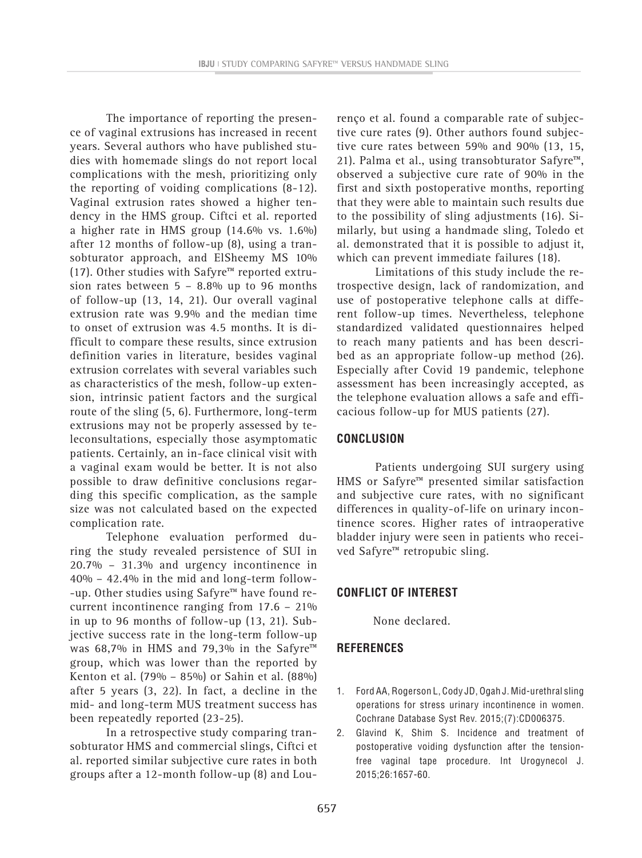The importance of reporting the presence of vaginal extrusions has increased in recent years. Several authors who have published studies with homemade slings do not report local complications with the mesh, prioritizing only the reporting of voiding complications (8-12). Vaginal extrusion rates showed a higher tendency in the HMS group. Ciftci et al. reported a higher rate in HMS group (14.6% vs. 1.6%) after 12 months of follow-up (8), using a transobturator approach, and ElSheemy MS 10% (17). Other studies with Safyre™ reported extrusion rates between  $5 - 8.8\%$  up to 96 months of follow-up (13, 14, 21). Our overall vaginal extrusion rate was 9.9% and the median time to onset of extrusion was 4.5 months. It is difficult to compare these results, since extrusion definition varies in literature, besides vaginal extrusion correlates with several variables such as characteristics of the mesh, follow-up extension, intrinsic patient factors and the surgical route of the sling (5, 6). Furthermore, long-term extrusions may not be properly assessed by teleconsultations, especially those asymptomatic patients. Certainly, an in-face clinical visit with a vaginal exam would be better. It is not also possible to draw definitive conclusions regarding this specific complication, as the sample size was not calculated based on the expected complication rate.

Telephone evaluation performed during the study revealed persistence of SUI in 20.7% – 31.3% and urgency incontinence in 40% – 42.4% in the mid and long-term follow- -up. Other studies using Safyre™ have found recurrent incontinence ranging from 17.6 – 21% in up to 96 months of follow-up (13, 21). Subjective success rate in the long-term follow-up was 68,7% in HMS and 79,3% in the Safyre™ group, which was lower than the reported by Kenton et al. (79% – 85%) or Sahin et al. (88%) after 5 years (3, 22). In fact, a decline in the mid- and long-term MUS treatment success has been repeatedly reported (23-25).

In a retrospective study comparing transobturator HMS and commercial slings, Ciftci et al. reported similar subjective cure rates in both groups after a 12-month follow-up (8) and Lourenço et al. found a comparable rate of subjective cure rates (9). Other authors found subjective cure rates between 59% and 90% (13, 15, 21). Palma et al., using transobturator Safyre™, observed a subjective cure rate of 90% in the first and sixth postoperative months, reporting that they were able to maintain such results due to the possibility of sling adjustments (16). Similarly, but using a handmade sling, Toledo et al. demonstrated that it is possible to adjust it, which can prevent immediate failures (18).

Limitations of this study include the retrospective design, lack of randomization, and use of postoperative telephone calls at different follow-up times. Nevertheless, telephone standardized validated questionnaires helped to reach many patients and has been described as an appropriate follow-up method (26). Especially after Covid 19 pandemic, telephone assessment has been increasingly accepted, as the telephone evaluation allows a safe and efficacious follow-up for MUS patients (27).

## **CONCLUSION**

Patients undergoing SUI surgery using HMS or Safyre™ presented similar satisfaction and subjective cure rates, with no significant differences in quality-of-life on urinary incontinence scores. Higher rates of intraoperative bladder injury were seen in patients who received Safyre™ retropubic sling.

## **CONFLICT OF INTEREST**

None declared.

## **REFERENCES**

- 1. Ford AA, Rogerson L, Cody JD, Ogah J. Mid-urethral sling operations for stress urinary incontinence in women. Cochrane Database Syst Rev. 2015;(7):CD006375.
- 2. Glavind K, Shim S. Incidence and treatment of postoperative voiding dysfunction after the tensionfree vaginal tape procedure. Int Urogynecol J. 2015;26:1657-60.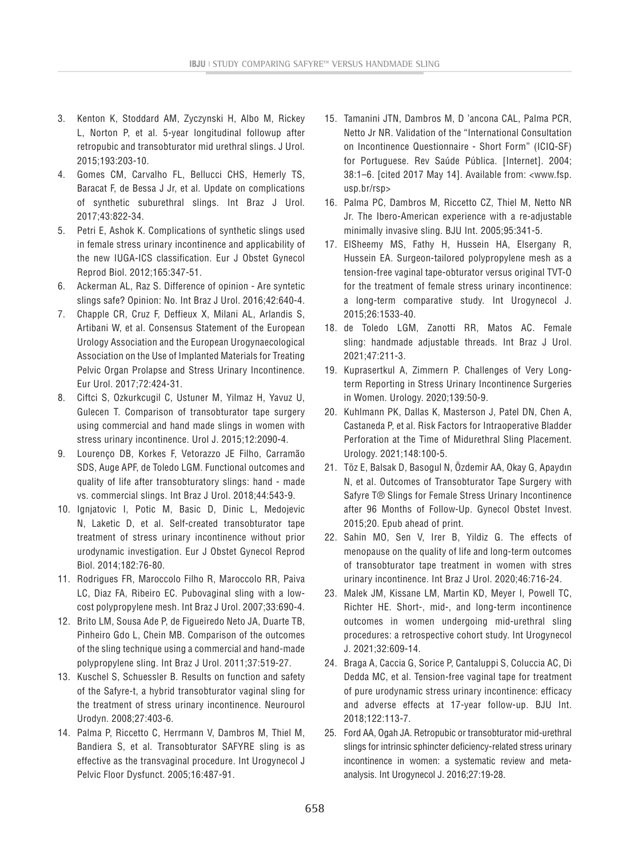- 3. Kenton K, Stoddard AM, Zyczynski H, Albo M, Rickey L, Norton P, et al. 5-year longitudinal followup after retropubic and transobturator mid urethral slings. J Urol. 2015;193:203-10.
- 4. Gomes CM, Carvalho FL, Bellucci CHS, Hemerly TS, Baracat F, de Bessa J Jr, et al. Update on complications of synthetic suburethral slings. Int Braz J Urol. 2017;43:822-34.
- 5. Petri E, Ashok K. Complications of synthetic slings used in female stress urinary incontinence and applicability of the new IUGA-ICS classification. Eur J Obstet Gynecol Reprod Biol. 2012;165:347-51.
- 6. Ackerman AL, Raz S. Difference of opinion Are syntetic slings safe? Opinion: No. Int Braz J Urol. 2016;42:640-4.
- 7. Chapple CR, Cruz F, Deffieux X, Milani AL, Arlandis S, Artibani W, et al. Consensus Statement of the European Urology Association and the European Urogynaecological Association on the Use of Implanted Materials for Treating Pelvic Organ Prolapse and Stress Urinary Incontinence. Eur Urol. 2017;72:424-31.
- 8. Ciftci S, Ozkurkcugil C, Ustuner M, Yilmaz H, Yavuz U, Gulecen T. Comparison of transobturator tape surgery using commercial and hand made slings in women with stress urinary incontinence. Urol J. 2015;12:2090-4.
- 9. Lourenço DB, Korkes F, Vetorazzo JE Filho, Carramão SDS, Auge APF, de Toledo LGM. Functional outcomes and quality of life after transobturatory slings: hand - made vs. commercial slings. Int Braz J Urol. 2018;44:543-9.
- 10. Ignjatovic I, Potic M, Basic D, Dinic L, Medojevic N, Laketic D, et al. Self-created transobturator tape treatment of stress urinary incontinence without prior urodynamic investigation. Eur J Obstet Gynecol Reprod Biol. 2014;182:76-80.
- 11. Rodrigues FR, Maroccolo Filho R, Maroccolo RR, Paiva LC, Diaz FA, Ribeiro EC. Pubovaginal sling with a lowcost polypropylene mesh. Int Braz J Urol. 2007;33:690-4.
- 12. Brito LM, Sousa Ade P, de Figueiredo Neto JA, Duarte TB, Pinheiro Gdo L, Chein MB. Comparison of the outcomes of the sling technique using a commercial and hand-made polypropylene sling. Int Braz J Urol. 2011;37:519-27.
- 13. Kuschel S, Schuessler B. Results on function and safety of the Safyre-t, a hybrid transobturator vaginal sling for the treatment of stress urinary incontinence. Neurourol Urodyn. 2008;27:403-6.
- 14. Palma P, Riccetto C, Herrmann V, Dambros M, Thiel M, Bandiera S, et al. Transobturator SAFYRE sling is as effective as the transvaginal procedure. Int Urogynecol J Pelvic Floor Dysfunct. 2005;16:487-91.
- 15. Tamanini JTN, Dambros M, D 'ancona CAL, Palma PCR, Netto Jr NR. Validation of the "International Consultation on Incontinence Questionnaire - Short Form" (ICIQ-SF) for Portuguese. Rev Saúde Pública. [Internet]. 2004; 38:1–6. [cited 2017 May 14]. Available from: <www.fsp. usp.br/rsp>
- 16. Palma PC, Dambros M, Riccetto CZ, Thiel M, Netto NR Jr. The Ibero-American experience with a re-adjustable minimally invasive sling. BJU Int. 2005;95:341-5.
- 17. ElSheemy MS, Fathy H, Hussein HA, Elsergany R, Hussein EA. Surgeon-tailored polypropylene mesh as a tension-free vaginal tape-obturator versus original TVT-O for the treatment of female stress urinary incontinence: a long-term comparative study. Int Urogynecol J. 2015;26:1533-40.
- 18. de Toledo LGM, Zanotti RR, Matos AC. Female sling: handmade adjustable threads. Int Braz J Urol. 2021;47:211-3.
- 19. Kuprasertkul A, Zimmern P. Challenges of Very Longterm Reporting in Stress Urinary Incontinence Surgeries in Women. Urology. 2020;139:50-9.
- 20. Kuhlmann PK, Dallas K, Masterson J, Patel DN, Chen A, Castaneda P, et al. Risk Factors for Intraoperative Bladder Perforation at the Time of Midurethral Sling Placement. Urology. 2021;148:100-5.
- 21. Töz E, Balsak D, Basogul N, Özdemir AA, Okay G, Apaydın N, et al. Outcomes of Transobturator Tape Surgery with Safyre T® Slings for Female Stress Urinary Incontinence after 96 Months of Follow-Up. Gynecol Obstet Invest. 2015;20. Epub ahead of print.
- 22. Sahin MO, Sen V, Irer B, Yildiz G. The effects of menopause on the quality of life and long-term outcomes of transobturator tape treatment in women with stres urinary incontinence. Int Braz J Urol. 2020;46:716-24.
- 23. Malek JM, Kissane LM, Martin KD, Meyer I, Powell TC, Richter HE. Short-, mid-, and long-term incontinence outcomes in women undergoing mid-urethral sling procedures: a retrospective cohort study. Int Urogynecol J. 2021;32:609-14.
- 24. Braga A, Caccia G, Sorice P, Cantaluppi S, Coluccia AC, Di Dedda MC, et al. Tension-free vaginal tape for treatment of pure urodynamic stress urinary incontinence: efficacy and adverse effects at 17-year follow-up. BJU Int. 2018;122:113-7.
- 25. Ford AA, Ogah JA. Retropubic or transobturator mid-urethral slings for intrinsic sphincter deficiency-related stress urinary incontinence in women: a systematic review and metaanalysis. Int Urogynecol J. 2016;27:19-28.